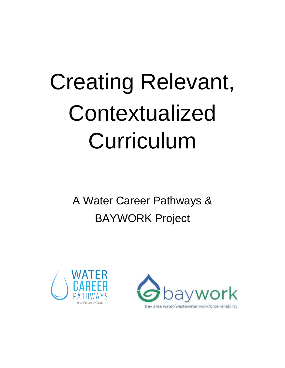# Creating Relevant, Contextualized Curriculum

A Water Career Pathways & BAYWORK Project



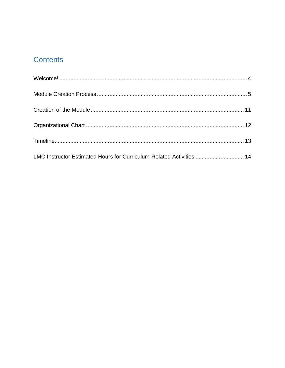## **Contents**

| LMC Instructor Estimated Hours for Curriculum-Related Activities  14 |  |
|----------------------------------------------------------------------|--|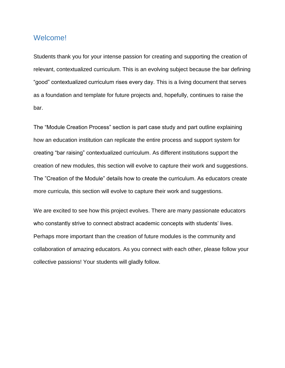## <span id="page-3-0"></span>Welcome!

Students thank you for your intense passion for creating and supporting the creation of relevant, contextualized curriculum. This is an evolving subject because the bar defining "good" contextualized curriculum rises every day. This is a living document that serves as a foundation and template for future projects and, hopefully, continues to raise the bar.

The "Module Creation Process" section is part case study and part outline explaining how an education institution can replicate the entire process and support system for creating "bar raising" contextualized curriculum. As different institutions support the creation of new modules, this section will evolve to capture their work and suggestions. The "Creation of the Module" details how to create the curriculum. As educators create more curricula, this section will evolve to capture their work and suggestions.

We are excited to see how this project evolves. There are many passionate educators who constantly strive to connect abstract academic concepts with students' lives. Perhaps more important than the creation of future modules is the community and collaboration of amazing educators. As you connect with each other, please follow your collective passions! Your students will gladly follow.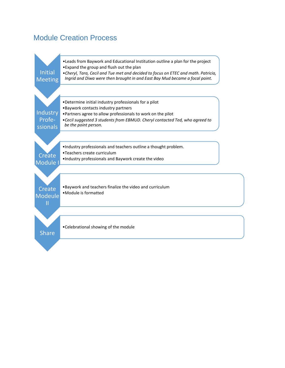## <span id="page-4-0"></span>Module Creation Process

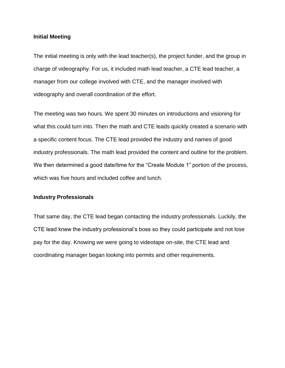#### **Initial Meeting**

The initial meeting is only with the lead teacher(s), the project funder, and the group in charge of videography. For us, it included math lead teacher, a CTE lead teacher, a manager from our college involved with CTE, and the manager involved with videography and overall coordination of the effort.

The meeting was two hours. We spent 30 minutes on introductions and visioning for what this could turn into. Then the math and CTE leads quickly created a scenario with a specific content focus. The CTE lead provided the industry and names of good industry professionals. The math lead provided the content and outline for the problem. We then determined a good date/time for the "Create Module 1" portion of the process, which was five hours and included coffee and lunch.

#### **Industry Professionals**

That same day, the CTE lead began contacting the industry professionals. Luckily, the CTE lead knew the industry professional's boss so they could participate and not lose pay for the day. Knowing we were going to videotape on-site, the CTE lead and coordinating manager began looking into permits and other requirements.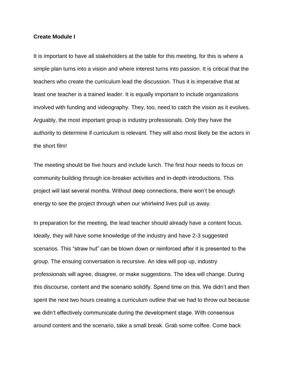#### **Create Module I**

It is important to have all stakeholders at the table for this meeting, for this is where a simple plan turns into a vision and where interest turns into passion. It is critical that the teachers who create the curriculum lead the discussion. Thus it is imperative that at least one teacher is a trained leader. It is equally important to include organizations involved with funding and videography. They, too, need to catch the vision as it evolves. Arguably, the most important group is industry professionals. Only they have the authority to determine if curriculum is relevant. They will also most likely be the actors in the short film!

The meeting should be five hours and include lunch. The first hour needs to focus on community building through ice-breaker activities and in-depth introductions. This project will last several months. Without deep connections, there won't be enough energy to see the project through when our whirlwind lives pull us away.

In preparation for the meeting, the lead teacher should already have a content focus. Ideally, they will have some knowledge of the industry and have 2-3 suggested scenarios. This "straw hut" can be blown down or reinforced after it is presented to the group. The ensuing conversation is recursive. An idea will pop up, industry professionals will agree, disagree, or make suggestions. The idea will change. During this discourse, content and the scenario solidify. Spend time on this. We didn't and then spent the next two hours creating a curriculum outline that we had to throw out because we didn't effectively communicate during the development stage. With consensus around content and the scenario, take a small break. Grab some coffee. Come back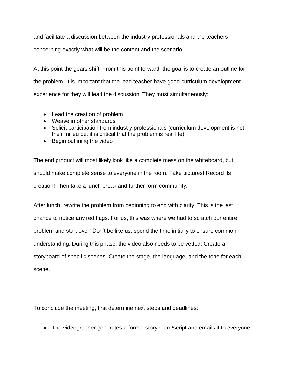and facilitate a discussion between the industry professionals and the teachers

concerning exactly what will be the content and the scenario.

At this point the gears shift. From this point forward, the goal is to create an outline for the problem. It is important that the lead teacher have good curriculum development experience for they will lead the discussion. They must simultaneously:

- Lead the creation of problem
- Weave in other standards
- Solicit participation from industry professionals (curriculum development is not their milieu but it is critical that the problem is real life)
- Begin outlining the video

The end product will most likely look like a complete mess on the whiteboard, but should make complete sense to everyone in the room. Take pictures! Record its creation! Then take a lunch break and further form community.

After lunch, rewrite the problem from beginning to end with clarity. This is the last chance to notice any red flags. For us, this was where we had to scratch our entire problem and start over! Don't be like us; spend the time initially to ensure common understanding. During this phase, the video also needs to be vetted. Create a storyboard of specific scenes. Create the stage, the language, and the tone for each scene.

To conclude the meeting, first determine next steps and deadlines:

The videographer generates a formal storyboard/script and emails it to everyone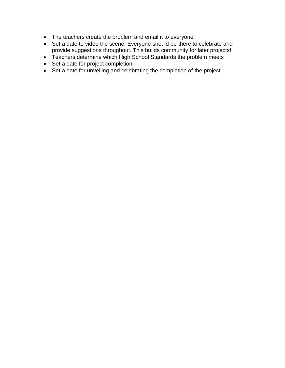- The teachers create the problem and email it to everyone
- Set a date to video the scene. Everyone should be there to celebrate and provide suggestions throughout. This builds community for later projects!
- Teachers determine which High School Standards the problem meets
- Set a date for project completion
- Set a date for unveiling and celebrating the completion of the project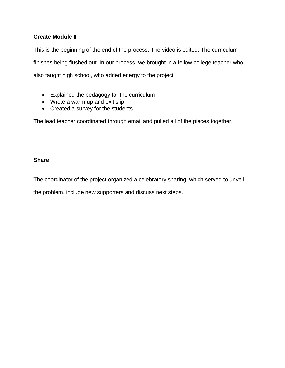## **Create Module II**

This is the beginning of the end of the process. The video is edited. The curriculum finishes being flushed out. In our process, we brought in a fellow college teacher who also taught high school, who added energy to the project

- Explained the pedagogy for the curriculum
- Wrote a warm-up and exit slip
- Created a survey for the students

The lead teacher coordinated through email and pulled all of the pieces together.

### **Share**

The coordinator of the project organized a celebratory sharing, which served to unveil

the problem, include new supporters and discuss next steps.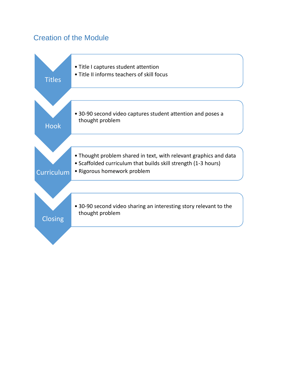## <span id="page-10-0"></span>Creation of the Module

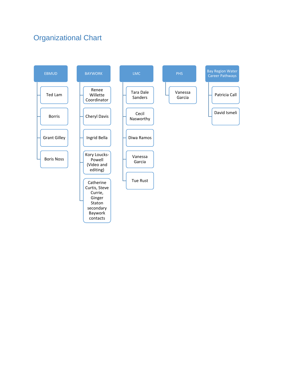# <span id="page-11-0"></span>Organizational Chart

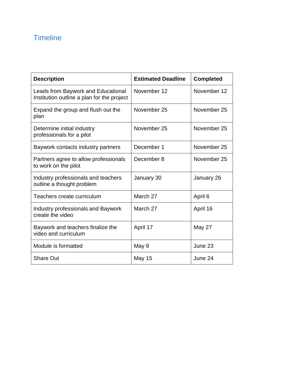# <span id="page-12-0"></span>**Timeline**

| <b>Description</b>                                                               | <b>Estimated Deadline</b> | <b>Completed</b> |
|----------------------------------------------------------------------------------|---------------------------|------------------|
| Leads from Baywork and Educational<br>Institution outline a plan for the project | November 12               | November 12      |
| Expand the group and flush out the<br>plan                                       | November 25               | November 25      |
| Determine initial industry<br>professionals for a pilot                          | November 25               | November 25      |
| Baywork contacts industry partners                                               | December 1                | November 25      |
| Partners agree to allow professionals<br>to work on the pilot                    | December 8                | November 25      |
| Industry professionals and teachers<br>outline a thought problem                 | January 30                | January 26       |
| Teachers create curriculum                                                       | March 27                  | April 6          |
| <b>Industry professionals and Baywork</b><br>create the video                    | March 27                  | April 16         |
| Baywork and teachers finalize the<br>video and curriculum                        | April 17                  | <b>May 27</b>    |
| Module is formatted                                                              | May 8                     | June 23          |
| <b>Share Out</b>                                                                 | <b>May 15</b>             | June 24          |